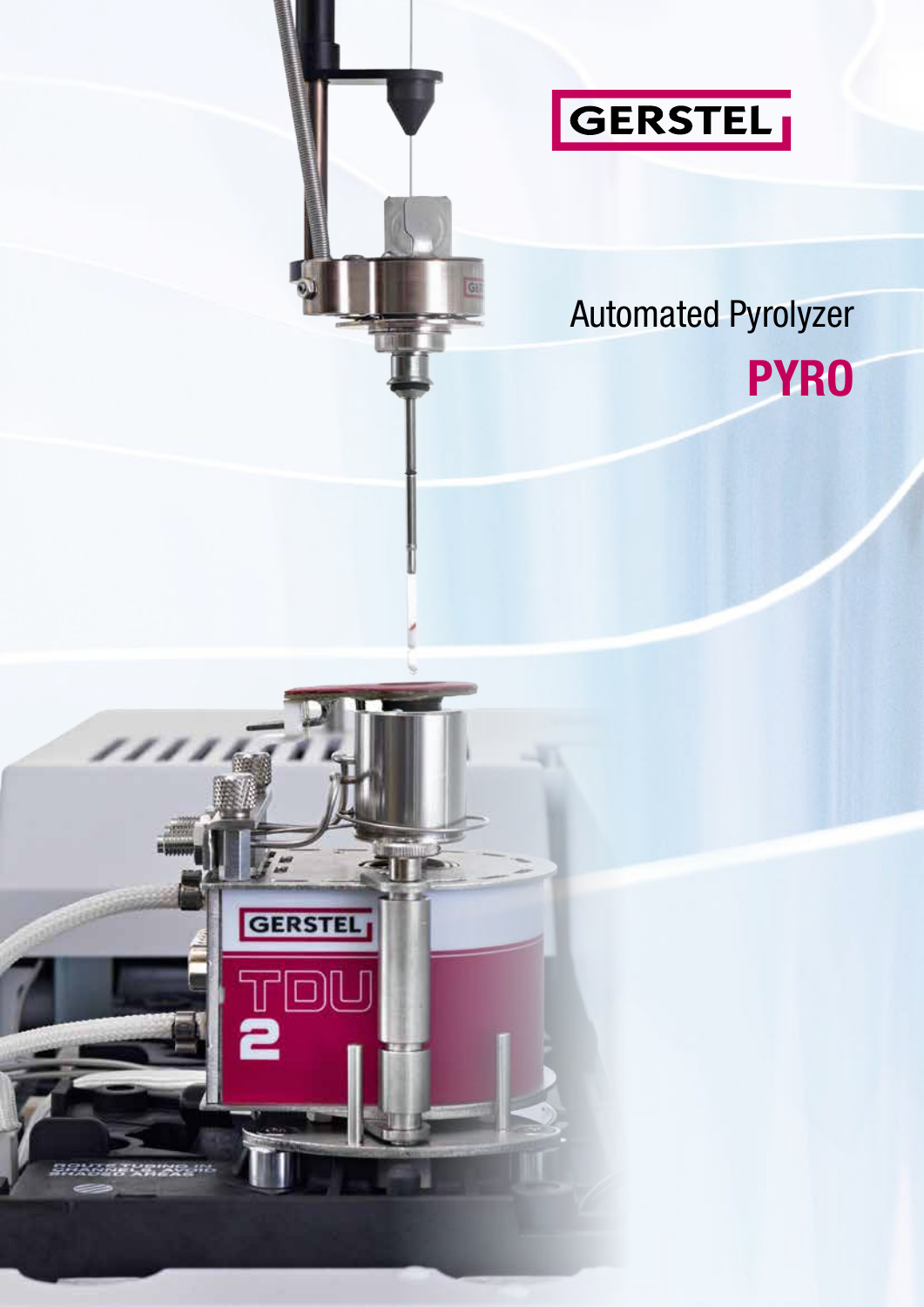

# Automated Pyrolyzer **PYRO**

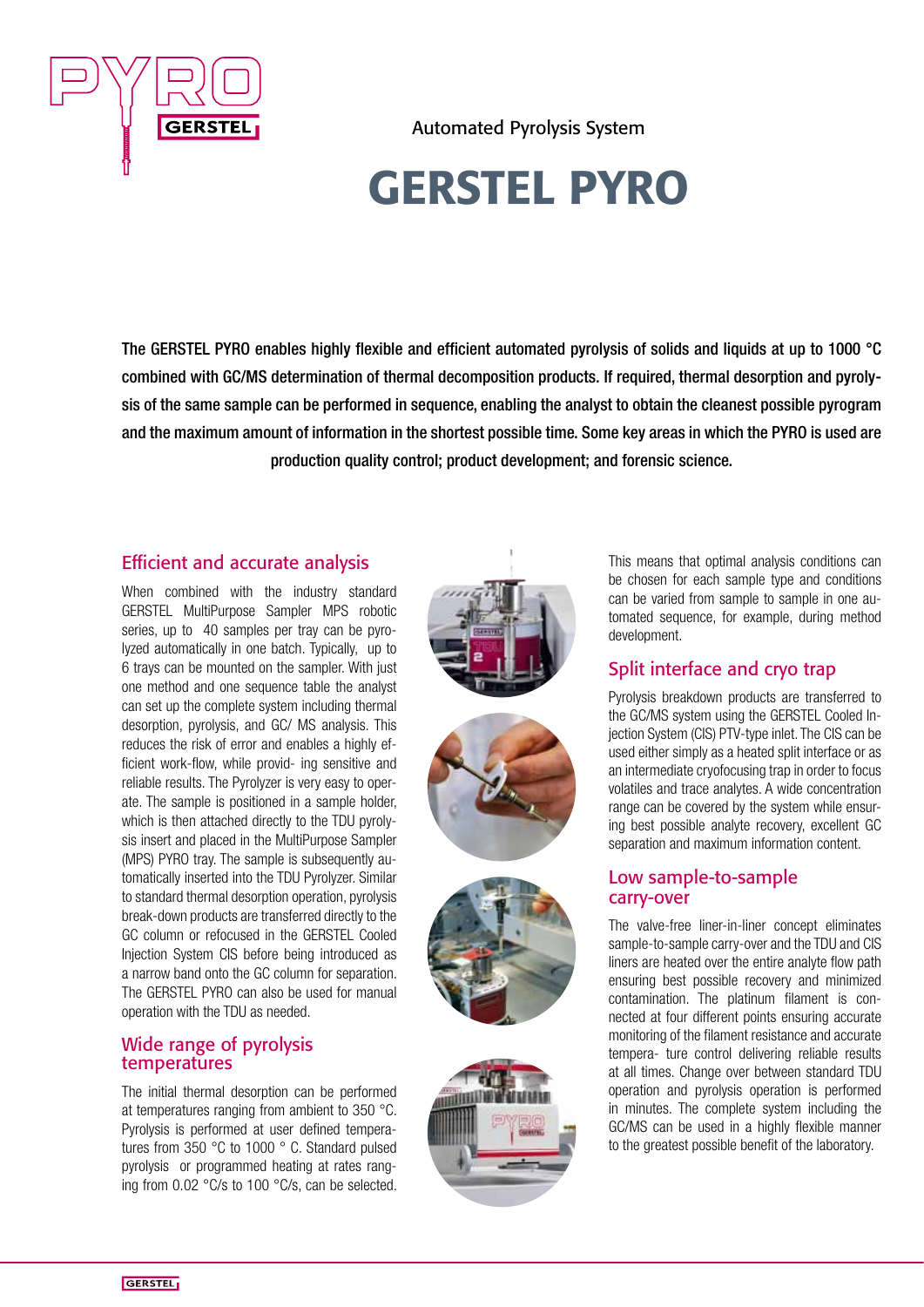

Automated Pyrolysis System

# GERSTEL PYRO

The GERSTEL PYRO enables highly flexible and efficient automated pyrolysis of solids and liquids at up to 1000 °C combined with GC/MS determination of thermal decomposition products. If required, thermal desorption and pyrolysis of the same sample can be performed in sequence, enabling the analyst to obtain the cleanest possible pyrogram and the maximum amount of information in the shortest possible time. Some key areas in which the PYRO is used are production quality control; product development; and forensic science.

## Efficient and accurate analysis

When combined with the industry standard GERSTEL MultiPurpose Sampler MPS robotic series, up to 40 samples per tray can be pyrolyzed automatically in one batch. Typically, up to 6 trays can be mounted on the sampler. With just one method and one sequence table the analyst can set up the complete system including thermal desorption, pyrolysis, and GC/ MS analysis. This reduces the risk of error and enables a highly efficient work-flow, while provid- ing sensitive and reliable results. The Pyrolyzer is very easy to operate. The sample is positioned in a sample holder, which is then attached directly to the TDU pyrolysis insert and placed in the MultiPurpose Sampler (MPS) PYRO tray. The sample is subsequently automatically inserted into the TDU Pyrolyzer. Similar to standard thermal desorption operation, pyrolysis break-down products are transferred directly to the GC column or refocused in the GERSTEL Cooled Injection System CIS before being introduced as a narrow band onto the GC column for separation. The GERSTEL PYRO can also be used for manual operation with the TDU as needed.

### Wide range of pyrolysis temperatures

The initial thermal desorption can be performed at temperatures ranging from ambient to 350 °C. Pyrolysis is performed at user defined temperatures from 350 °C to 1000 ° C. Standard pulsed pyrolysis or programmed heating at rates ranging from 0.02 °C/s to 100 °C/s, can be selected.









This means that optimal analysis conditions can be chosen for each sample type and conditions can be varied from sample to sample in one automated sequence, for example, during method development.

## Split interface and cryo trap

Pyrolysis breakdown products are transferred to the GC/MS system using the GERSTEL Cooled Injection System (CIS) PTV-type inlet. The CIS can be used either simply as a heated split interface or as an intermediate cryofocusing trap in order to focus volatiles and trace analytes. A wide concentration range can be covered by the system while ensuring best possible analyte recovery, excellent GC separation and maximum information content.

### Low sample-to-sample carry-over

The valve-free liner-in-liner concept eliminates sample-to-sample carry-over and the TDU and CIS liners are heated over the entire analyte flow path ensuring best possible recovery and minimized contamination. The platinum filament is connected at four different points ensuring accurate monitoring of the filament resistance and accurate tempera- ture control delivering reliable results at all times. Change over between standard TDU operation and pyrolysis operation is performed in minutes. The complete system including the GC/MS can be used in a highly flexible manner to the greatest possible benefit of the laboratory.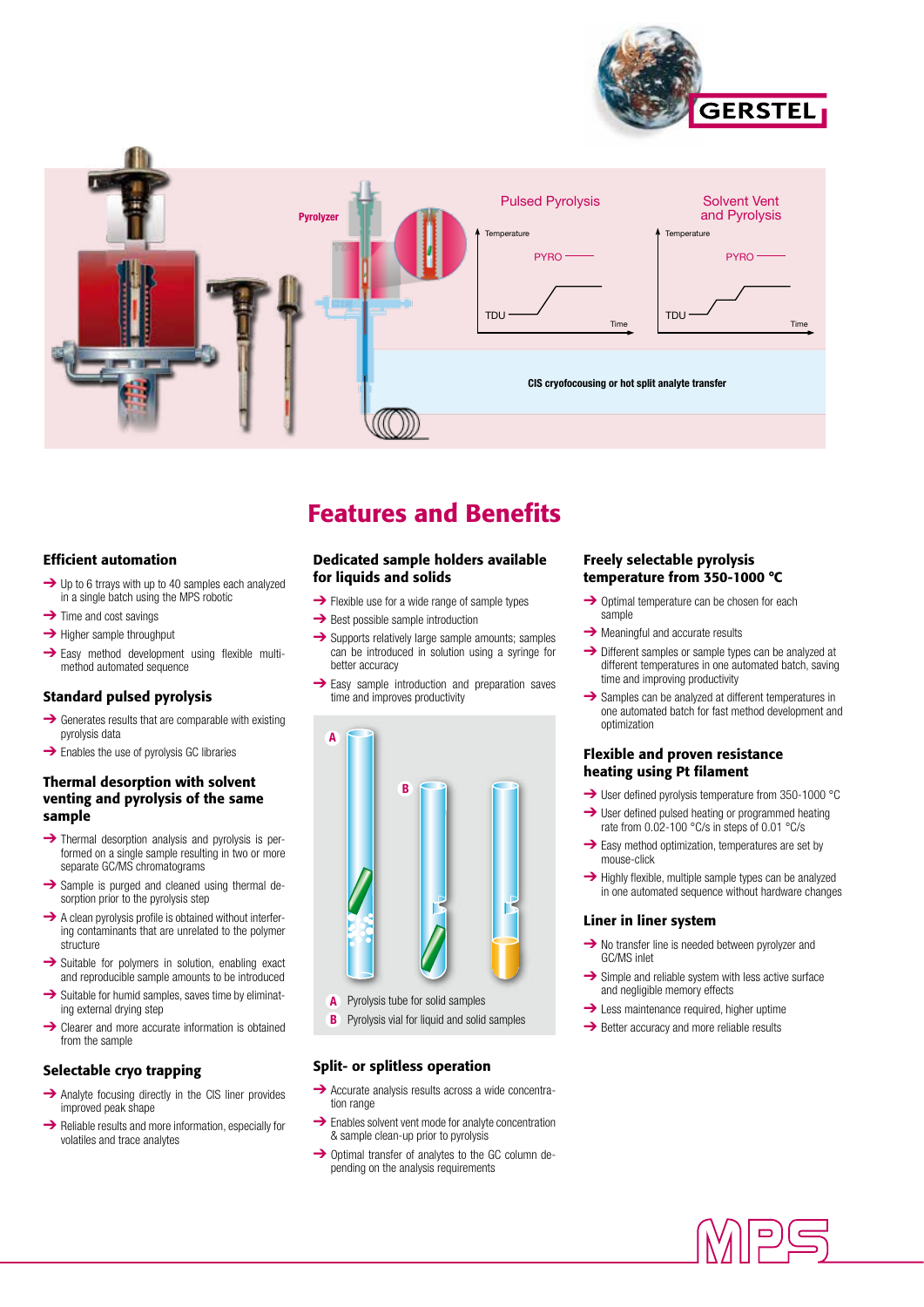



# Features and Benefits

#### Efficient automation

- ➔ Up to 6 trrays with up to 40 samples each analyzed in a single batch using the MPS robotic
- $\rightarrow$  Time and cost savings
- **→** Higher sample throughput
- **→** Easy method development using flexible multimethod automated sequence

#### Standard pulsed pyrolysis

- ➔ Generates results that are comparable with existing pyrolysis data
- **→** Enables the use of pyrolysis GC libraries

#### Thermal desorption with solvent venting and pyrolysis of the same sample

- ➔ Thermal desorption analysis and pyrolysis is performed on a single sample resulting in two or more separate GC/MS chromatograms
- **→** Sample is purged and cleaned using thermal desorption prior to the pyrolysis step
- $\rightarrow$  A clean pyrolysis profile is obtained without interfering contaminants that are unrelated to the polymer structure
- **→** Suitable for polymers in solution, enabling exact and reproducible sample amounts to be introduced
- $\rightarrow$  Suitable for humid samples, saves time by eliminating external drying step
- **→** Clearer and more accurate information is obtained from the sample

#### Selectable cryo trapping

- **→** Analyte focusing directly in the CIS liner provides improved peak shape
- ➔ Reliable results and more information, especially for volatiles and trace analytes

#### Dedicated sample holders available for liquids and solids

- $\rightarrow$  Flexible use for a wide range of sample types
- **→** Best possible sample introduction
- **→** Supports relatively large sample amounts; samples can be introduced in solution using a syringe for better accuracy
- **→** Easy sample introduction and preparation saves time and improves productivity



- Pyrolysis tube for solid samples **A**
- Pyrolysis vial for liquid and solid samples **B**

#### Split- or splitless operation

- **→** Accurate analysis results across a wide concentration range
- **→** Enables solvent vent mode for analyte concentration & sample clean-up prior to pyrolysis
- ➔ Optimal transfer of analytes to the GC column depending on the analysis requirements

#### Freely selectable pyrolysis temperature from 350-1000 °C

- **→** Optimal temperature can be chosen for each sample
- **→** Meaningful and accurate results
- ➔ Different samples or sample types can be analyzed at different temperatures in one automated batch, saving time and improving productivity
- $\rightarrow$  Samples can be analyzed at different temperatures in one automated batch for fast method development and optimization

#### Flexible and proven resistance heating using Pt filament

- → User defined pyrolysis temperature from 350-1000 °C
- **→** User defined pulsed heating or programmed heating rate from 0.02-100 °C/s in steps of 0.01 °C/s
- $\rightarrow$  Easy method optimization, temperatures are set by mouse-click
- **→** Highly flexible, multiple sample types can be analyzed in one automated sequence without hardware changes

#### Liner in liner system

- **→** No transfer line is needed between pyrolyzer and GC/MS inlet
- $\rightarrow$  Simple and reliable system with less active surface and negligible memory effects
- $\rightarrow$  Less maintenance required, higher uptime
- **→** Better accuracy and more reliable results